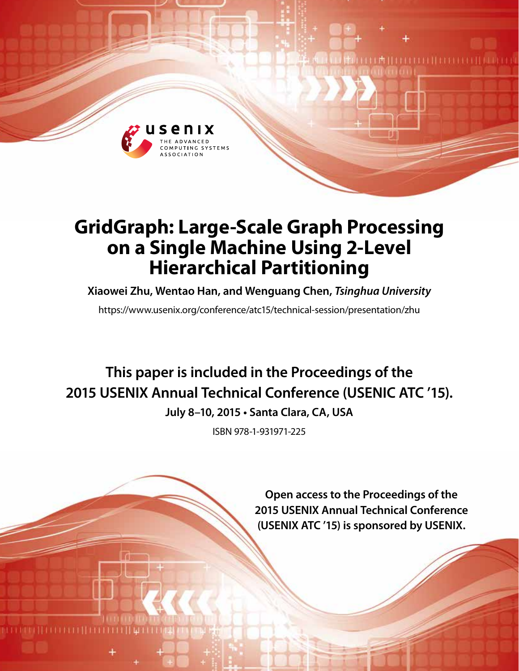

## **GridGraph: Large-Scale Graph Processing on a Single Machine Using 2-Level Hierarchical Partitioning**

**Xiaowei Zhu, Wentao Han, and Wenguang Chen,** *Tsinghua University*

https://www.usenix.org/conference/atc15/technical-session/presentation/zhu

# **This paper is included in the Proceedings of the 2015 USENIX Annual Technical Conference (USENIC ATC '15).**

**July 8–10, 2015 • Santa Clara, CA, USA**

ISBN 978-1-931971-225

**Open access to the Proceedings of the 2015 USENIX Annual Technical Conference (USENIX ATC '15) is sponsored by USENIX.**

THEILITE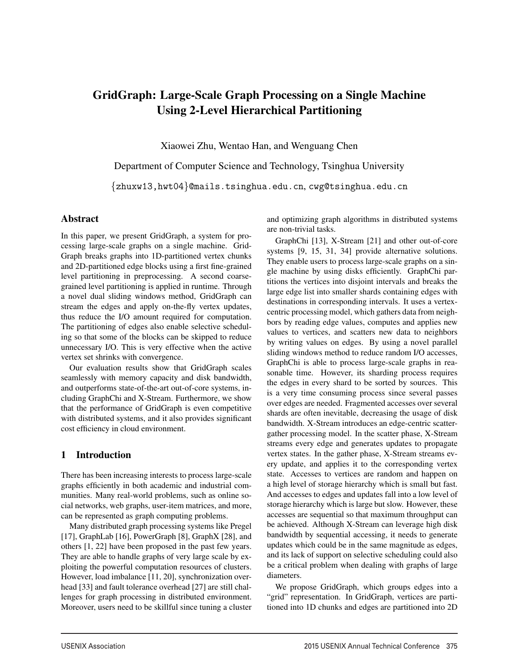### GridGraph: Large-Scale Graph Processing on a Single Machine Using 2-Level Hierarchical Partitioning

Xiaowei Zhu, Wentao Han, and Wenguang Chen

Department of Computer Science and Technology, Tsinghua University {zhuxw13,hwt04}@mails.tsinghua.edu.cn, cwg@tsinghua.edu.cn

#### Abstract

In this paper, we present GridGraph, a system for processing large-scale graphs on a single machine. Grid-Graph breaks graphs into 1D-partitioned vertex chunks and 2D-partitioned edge blocks using a first fine-grained level partitioning in preprocessing. A second coarsegrained level partitioning is applied in runtime. Through a novel dual sliding windows method, GridGraph can stream the edges and apply on-the-fly vertex updates, thus reduce the I/O amount required for computation. The partitioning of edges also enable selective scheduling so that some of the blocks can be skipped to reduce unnecessary I/O. This is very effective when the active vertex set shrinks with convergence.

Our evaluation results show that GridGraph scales seamlessly with memory capacity and disk bandwidth, and outperforms state-of-the-art out-of-core systems, including GraphChi and X-Stream. Furthermore, we show that the performance of GridGraph is even competitive with distributed systems, and it also provides significant cost efficiency in cloud environment.

#### 1 Introduction

There has been increasing interests to process large-scale graphs efficiently in both academic and industrial communities. Many real-world problems, such as online social networks, web graphs, user-item matrices, and more, can be represented as graph computing problems.

Many distributed graph processing systems like Pregel [17], GraphLab [16], PowerGraph [8], GraphX [28], and others [1, 22] have been proposed in the past few years. They are able to handle graphs of very large scale by exploiting the powerful computation resources of clusters. However, load imbalance [11, 20], synchronization overhead [33] and fault tolerance overhead [27] are still challenges for graph processing in distributed environment. Moreover, users need to be skillful since tuning a cluster and optimizing graph algorithms in distributed systems are non-trivial tasks.

GraphChi [13], X-Stream [21] and other out-of-core systems [9, 15, 31, 34] provide alternative solutions. They enable users to process large-scale graphs on a single machine by using disks efficiently. GraphChi partitions the vertices into disjoint intervals and breaks the large edge list into smaller shards containing edges with destinations in corresponding intervals. It uses a vertexcentric processing model, which gathers data from neighbors by reading edge values, computes and applies new values to vertices, and scatters new data to neighbors by writing values on edges. By using a novel parallel sliding windows method to reduce random I/O accesses, GraphChi is able to process large-scale graphs in reasonable time. However, its sharding process requires the edges in every shard to be sorted by sources. This is a very time consuming process since several passes over edges are needed. Fragmented accesses over several shards are often inevitable, decreasing the usage of disk bandwidth. X-Stream introduces an edge-centric scattergather processing model. In the scatter phase, X-Stream streams every edge and generates updates to propagate vertex states. In the gather phase, X-Stream streams every update, and applies it to the corresponding vertex state. Accesses to vertices are random and happen on a high level of storage hierarchy which is small but fast. And accesses to edges and updates fall into a low level of storage hierarchy which is large but slow. However, these accesses are sequential so that maximum throughput can be achieved. Although X-Stream can leverage high disk bandwidth by sequential accessing, it needs to generate updates which could be in the same magnitude as edges, and its lack of support on selective scheduling could also be a critical problem when dealing with graphs of large diameters.

We propose GridGraph, which groups edges into a "grid" representation. In GridGraph, vertices are partitioned into 1D chunks and edges are partitioned into 2D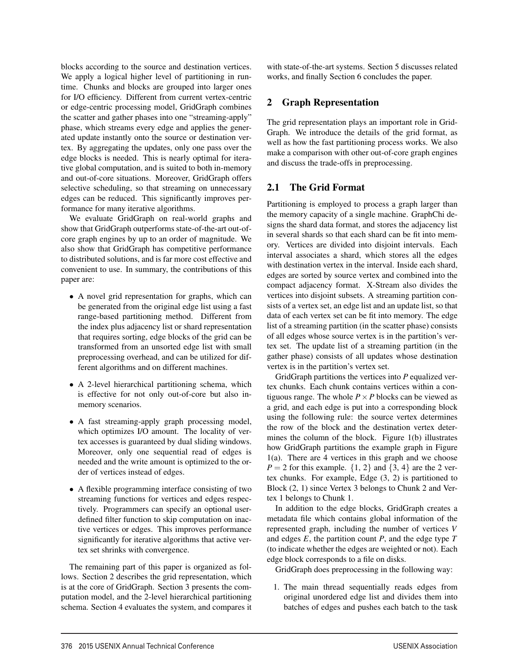blocks according to the source and destination vertices. We apply a logical higher level of partitioning in runtime. Chunks and blocks are grouped into larger ones for I/O efficiency. Different from current vertex-centric or edge-centric processing model, GridGraph combines the scatter and gather phases into one "streaming-apply" phase, which streams every edge and applies the generated update instantly onto the source or destination vertex. By aggregating the updates, only one pass over the edge blocks is needed. This is nearly optimal for iterative global computation, and is suited to both in-memory and out-of-core situations. Moreover, GridGraph offers selective scheduling, so that streaming on unnecessary edges can be reduced. This significantly improves performance for many iterative algorithms.

We evaluate GridGraph on real-world graphs and show that GridGraph outperforms state-of-the-art out-ofcore graph engines by up to an order of magnitude. We also show that GridGraph has competitive performance to distributed solutions, and is far more cost effective and convenient to use. In summary, the contributions of this paper are:

- A novel grid representation for graphs, which can be generated from the original edge list using a fast range-based partitioning method. Different from the index plus adjacency list or shard representation that requires sorting, edge blocks of the grid can be transformed from an unsorted edge list with small preprocessing overhead, and can be utilized for different algorithms and on different machines.
- A 2-level hierarchical partitioning schema, which is effective for not only out-of-core but also inmemory scenarios.
- A fast streaming-apply graph processing model, which optimizes I/O amount. The locality of vertex accesses is guaranteed by dual sliding windows. Moreover, only one sequential read of edges is needed and the write amount is optimized to the order of vertices instead of edges.
- A flexible programming interface consisting of two streaming functions for vertices and edges respectively. Programmers can specify an optional userdefined filter function to skip computation on inactive vertices or edges. This improves performance significantly for iterative algorithms that active vertex set shrinks with convergence.

The remaining part of this paper is organized as follows. Section 2 describes the grid representation, which is at the core of GridGraph. Section 3 presents the computation model, and the 2-level hierarchical partitioning schema. Section 4 evaluates the system, and compares it with state-of-the-art systems. Section 5 discusses related works, and finally Section 6 concludes the paper.

#### 2 Graph Representation

The grid representation plays an important role in Grid-Graph. We introduce the details of the grid format, as well as how the fast partitioning process works. We also make a comparison with other out-of-core graph engines and discuss the trade-offs in preprocessing.

#### 2.1 The Grid Format

Partitioning is employed to process a graph larger than the memory capacity of a single machine. GraphChi designs the shard data format, and stores the adjacency list in several shards so that each shard can be fit into memory. Vertices are divided into disjoint intervals. Each interval associates a shard, which stores all the edges with destination vertex in the interval. Inside each shard, edges are sorted by source vertex and combined into the compact adjacency format. X-Stream also divides the vertices into disjoint subsets. A streaming partition consists of a vertex set, an edge list and an update list, so that data of each vertex set can be fit into memory. The edge list of a streaming partition (in the scatter phase) consists of all edges whose source vertex is in the partition's vertex set. The update list of a streaming partition (in the gather phase) consists of all updates whose destination vertex is in the partition's vertex set.

GridGraph partitions the vertices into *P* equalized vertex chunks. Each chunk contains vertices within a contiguous range. The whole  $P \times P$  blocks can be viewed as a grid, and each edge is put into a corresponding block using the following rule: the source vertex determines the row of the block and the destination vertex determines the column of the block. Figure 1(b) illustrates how GridGraph partitions the example graph in Figure 1(a). There are 4 vertices in this graph and we choose  $P = 2$  for this example.  $\{1, 2\}$  and  $\{3, 4\}$  are the 2 vertex chunks. For example, Edge (3, 2) is partitioned to Block (2, 1) since Vertex 3 belongs to Chunk 2 and Vertex 1 belongs to Chunk 1.

In addition to the edge blocks, GridGraph creates a metadata file which contains global information of the represented graph, including the number of vertices *V* and edges *E*, the partition count *P*, and the edge type *T* (to indicate whether the edges are weighted or not). Each edge block corresponds to a file on disks.

GridGraph does preprocessing in the following way:

1. The main thread sequentially reads edges from original unordered edge list and divides them into batches of edges and pushes each batch to the task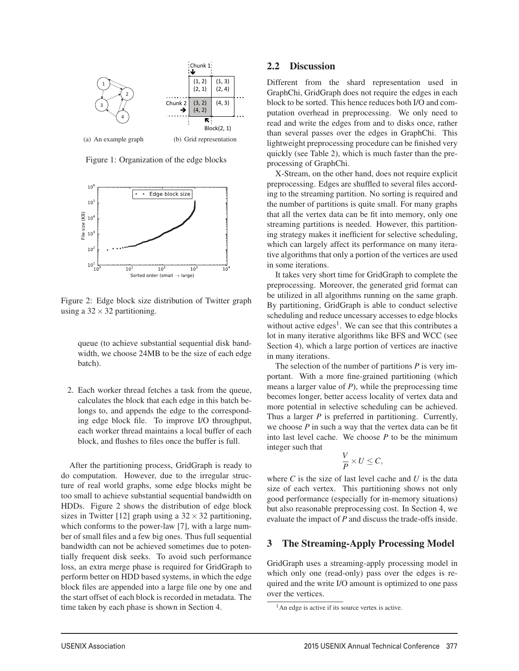

Figure 1: Organization of the edge blocks



Figure 2: Edge block size distribution of Twitter graph using a  $32 \times 32$  partitioning.

queue (to achieve substantial sequential disk bandwidth, we choose 24MB to be the size of each edge batch).

2. Each worker thread fetches a task from the queue, calculates the block that each edge in this batch belongs to, and appends the edge to the corresponding edge block file. To improve I/O throughput, each worker thread maintains a local buffer of each block, and flushes to files once the buffer is full.

After the partitioning process, GridGraph is ready to do computation. However, due to the irregular structure of real world graphs, some edge blocks might be too small to achieve substantial sequential bandwidth on HDDs. Figure 2 shows the distribution of edge block sizes in Twitter [12] graph using a  $32 \times 32$  partitioning, which conforms to the power-law [7], with a large number of small files and a few big ones. Thus full sequential bandwidth can not be achieved sometimes due to potentially frequent disk seeks. To avoid such performance loss, an extra merge phase is required for GridGraph to perform better on HDD based systems, in which the edge block files are appended into a large file one by one and the start offset of each block is recorded in metadata. The time taken by each phase is shown in Section 4.

#### 2.2 Discussion

Different from the shard representation used in GraphChi, GridGraph does not require the edges in each block to be sorted. This hence reduces both I/O and computation overhead in preprocessing. We only need to read and write the edges from and to disks once, rather than several passes over the edges in GraphChi. This lightweight preprocessing procedure can be finished very quickly (see Table 2), which is much faster than the preprocessing of GraphChi.

X-Stream, on the other hand, does not require explicit preprocessing. Edges are shuffled to several files according to the streaming partition. No sorting is required and the number of partitions is quite small. For many graphs that all the vertex data can be fit into memory, only one streaming partitions is needed. However, this partitioning strategy makes it inefficient for selective scheduling, which can largely affect its performance on many iterative algorithms that only a portion of the vertices are used in some iterations.

It takes very short time for GridGraph to complete the preprocessing. Moreover, the generated grid format can be utilized in all algorithms running on the same graph. By partitioning, GridGraph is able to conduct selective scheduling and reduce uncessary accesses to edge blocks without active edges<sup>1</sup>. We can see that this contributes a lot in many iterative algorithms like BFS and WCC (see Section 4), which a large portion of vertices are inactive in many iterations.

The selection of the number of partitions *P* is very important. With a more fine-grained partitioning (which means a larger value of *P*), while the preprocessing time becomes longer, better access locality of vertex data and more potential in selective scheduling can be achieved. Thus a larger *P* is preferred in partitioning. Currently, we choose *P* in such a way that the vertex data can be fit into last level cache. We choose *P* to be the minimum integer such that

$$
\frac{V}{P} \times U \leq C,
$$

where *C* is the size of last level cache and *U* is the data size of each vertex. This partitioning shows not only good performance (especially for in-memory situations) but also reasonable preprocessing cost. In Section 4, we evaluate the impact of *P* and discuss the trade-offs inside.

#### 3 The Streaming-Apply Processing Model

GridGraph uses a streaming-apply processing model in which only one (read-only) pass over the edges is required and the write I/O amount is optimized to one pass over the vertices.

 $<sup>1</sup>$ An edge is active if its source vertex is active.</sup>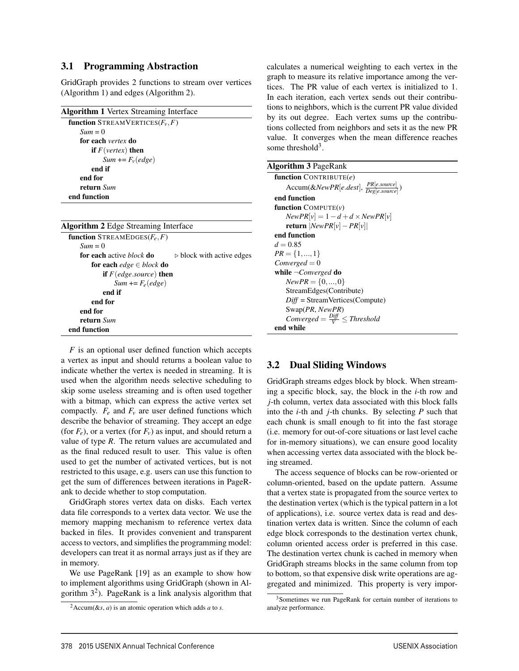#### 3.1 Programming Abstraction

GridGraph provides 2 functions to stream over vertices (Algorithm 1) and edges (Algorithm 2).

| <b>Algorithm 1</b> Vertex Streaming Interface                               |
|-----------------------------------------------------------------------------|
| <b>function</b> STREAMVERTICES $(F_v, F)$                                   |
| $Sum = 0$                                                                   |
| for each vertex do                                                          |
| <b>if</b> $F(\text{vertex})$ then                                           |
| $Sum += Fv(edge)$                                                           |
| end if                                                                      |
| end for                                                                     |
| return Sum                                                                  |
| end function                                                                |
|                                                                             |
| <b>Algorithm 2</b> Edge Streaming Interface                                 |
| <b>function</b> STREAMEDGES( $F_e$ , $F$ )                                  |
| $Sum = 0$                                                                   |
| for each active <i>block</i> do<br>$\triangleright$ block with active edges |
| for each <i>edge</i> $\in$ block <b>do</b>                                  |
| <b>if</b> $F$ (edge.source) <b>then</b>                                     |
| $Sum += F_e (edge)$                                                         |
| end if                                                                      |
|                                                                             |

| end for                                                              |
|----------------------------------------------------------------------|
| end for                                                              |
| return Sum                                                           |
| end function                                                         |
| $F$ is an optional user defined function which accepts               |
| a vertex as input and should returns a boolean value to              |
| indicate whether the vertex is needed in streaming. It is            |
| used when the algorithm needs selective scheduling to                |
| skip some useless streaming and is often used together               |
| with a bitmap, which can express the active vertex set               |
| compactly. $F_e$ and $F_v$ are user defined functions which          |
| describe the behavior of streaming. They accept an edge              |
| (for $F_e$ ), or a vertex (for $F_v$ ) as input, and should return a |
| value of type $R$ . The return values are accumulated and            |
| as the final reduced result to user. This value is often             |
| used to get the number of activated vertices, but is not             |
| restricted to this usage e a users can use this function to          |

restricted to this usage, e.g. users can use this function to get the sum of differences between iterations in PageRank to decide whether to stop computation.

GridGraph stores vertex data on disks. Each vertex data file corresponds to a vertex data vector. We use the memory mapping mechanism to reference vertex data backed in files. It provides convenient and transparent access to vectors, and simplifies the programming model: developers can treat it as normal arrays just as if they are in memory.

We use PageRank [19] as an example to show how to implement algorithms using GridGraph (shown in Algorithm  $3<sup>2</sup>$ ). PageRank is a link analysis algorithm that calculates a numerical weighting to each vertex in the graph to measure its relative importance among the vertices. The PR value of each vertex is initialized to 1. In each iteration, each vertex sends out their contributions to neighbors, which is the current PR value divided by its out degree. Each vertex sums up the contributions collected from neighbors and sets it as the new PR value. It converges when the mean difference reaches some threshold<sup>3</sup>.

| <b>Algorithm 3 PageRank</b>                                 |
|-------------------------------------------------------------|
| function CONTRIBUTE $(e)$                                   |
| Accum(&NewPR[e.dest], $\frac{PR[esource]}{Deep[esource]}$ ) |
| end function                                                |
| <b>function</b> $COMPUTE(v)$                                |
| $NewPR[v] = 1 - d + d \times NewPR[v]$                      |
| <b>return</b> $ NewPR[v] - PR[v] $                          |
| end function                                                |
| $d = 0.85$                                                  |
| $PR = \{1, , 1\}$                                           |
| $Converged = 0$                                             |
| while $\neg Converged$ do                                   |
| $NewPR = \{0, , 0\}$                                        |
| StreamEdges(Contribute)                                     |
| $Diff = StreamVertices(Compute)$                            |
| Swap(PR, NewPR)                                             |
| Converged = $\frac{Diff}{V} \leq$ Threshold                 |
| end while                                                   |

#### 3.2 Dual Sliding Windows

GridGraph streams edges block by block. When streaming a specific block, say, the block in the *i*-th row and *j*-th column, vertex data associated with this block falls into the *i*-th and *j*-th chunks. By selecting *P* such that each chunk is small enough to fit into the fast storage (i.e. memory for out-of-core situations or last level cache for in-memory situations), we can ensure good locality when accessing vertex data associated with the block being streamed.

The access sequence of blocks can be row-oriented or column-oriented, based on the update pattern. Assume that a vertex state is propagated from the source vertex to the destination vertex (which is the typical pattern in a lot of applications), i.e. source vertex data is read and destination vertex data is written. Since the column of each edge block corresponds to the destination vertex chunk, column oriented access order is preferred in this case. The destination vertex chunk is cached in memory when GridGraph streams blocks in the same column from top to bottom, so that expensive disk write operations are aggregated and minimized. This property is very impor-

 $^{2}$ Accum(&*s*, *a*) is an atomic operation which adds *a* to *s*.

<sup>&</sup>lt;sup>3</sup>Sometimes we run PageRank for certain number of iterations to analyze performance.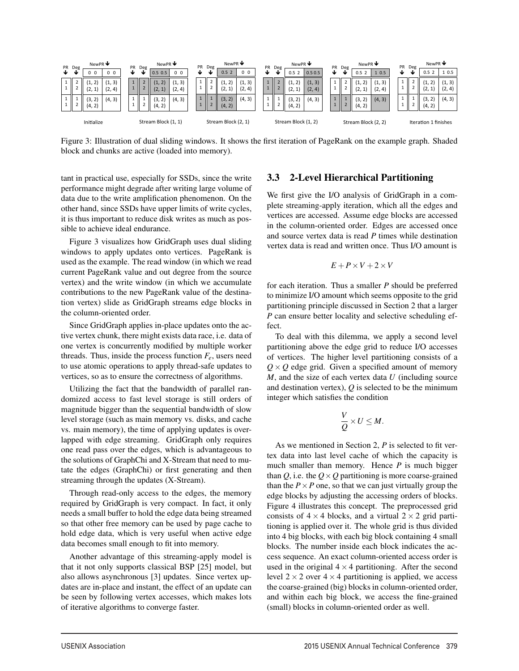

Figure 3: Illustration of dual sliding windows. It shows the first iteration of PageRank on the example graph. Shaded block and chunks are active (loaded into memory).

tant in practical use, especially for SSDs, since the write performance might degrade after writing large volume of data due to the write amplification phenomenon. On the other hand, since SSDs have upper limits of write cycles, it is thus important to reduce disk writes as much as possible to achieve ideal endurance.

Figure 3 visualizes how GridGraph uses dual sliding windows to apply updates onto vertices. PageRank is used as the example. The read window (in which we read current PageRank value and out degree from the source vertex) and the write window (in which we accumulate contributions to the new PageRank value of the destination vertex) slide as GridGraph streams edge blocks in the column-oriented order.

Since GridGraph applies in-place updates onto the active vertex chunk, there might exists data race, i.e. data of one vertex is concurrently modified by multiple worker threads. Thus, inside the process function  $F_e$ , users need to use atomic operations to apply thread-safe updates to vertices, so as to ensure the correctness of algorithms.

Utilizing the fact that the bandwidth of parallel randomized access to fast level storage is still orders of magnitude bigger than the sequential bandwidth of slow level storage (such as main memory vs. disks, and cache vs. main memory), the time of applying updates is overlapped with edge streaming. GridGraph only requires one read pass over the edges, which is advantageous to the solutions of GraphChi and X-Stream that need to mutate the edges (GraphChi) or first generating and then streaming through the updates (X-Stream).

Through read-only access to the edges, the memory required by GridGraph is very compact. In fact, it only needs a small buffer to hold the edge data being streamed so that other free memory can be used by page cache to hold edge data, which is very useful when active edge data becomes small enough to fit into memory.

Another advantage of this streaming-apply model is that it not only supports classical BSP [25] model, but also allows asynchronous [3] updates. Since vertex updates are in-place and instant, the effect of an update can be seen by following vertex accesses, which makes lots of iterative algorithms to converge faster.

#### 3.3 2-Level Hierarchical Partitioning

We first give the I/O analysis of GridGraph in a complete streaming-apply iteration, which all the edges and vertices are accessed. Assume edge blocks are accessed in the column-oriented order. Edges are accessed once and source vertex data is read *P* times while destination vertex data is read and written once. Thus I/O amount is

$$
E + P \times V + 2 \times V
$$

for each iteration. Thus a smaller *P* should be preferred to minimize I/O amount which seems opposite to the grid partitioning principle discussed in Section 2 that a larger *P* can ensure better locality and selective scheduling effect.

To deal with this dilemma, we apply a second level partitioning above the edge grid to reduce I/O accesses of vertices. The higher level partitioning consists of a  $Q \times Q$  edge grid. Given a specified amount of memory *M*, and the size of each vertex data *U* (including source and destination vertex), *Q* is selected to be the minimum integer which satisfies the condition

$$
\frac{V}{Q} \times U \leq M.
$$

As we mentioned in Section 2, *P* is selected to fit vertex data into last level cache of which the capacity is much smaller than memory. Hence *P* is much bigger than *Q*, i.e. the  $Q \times Q$  partitioning is more coarse-grained than the  $P \times P$  one, so that we can just virtually group the edge blocks by adjusting the accessing orders of blocks. Figure 4 illustrates this concept. The preprocessed grid consists of  $4 \times 4$  blocks, and a virtual  $2 \times 2$  grid partitioning is applied over it. The whole grid is thus divided into 4 big blocks, with each big block containing 4 small blocks. The number inside each block indicates the access sequence. An exact column-oriented access order is used in the original  $4 \times 4$  partitioning. After the second level  $2 \times 2$  over  $4 \times 4$  partitioning is applied, we access the coarse-grained (big) blocks in column-oriented order, and within each big block, we access the fine-grained (small) blocks in column-oriented order as well.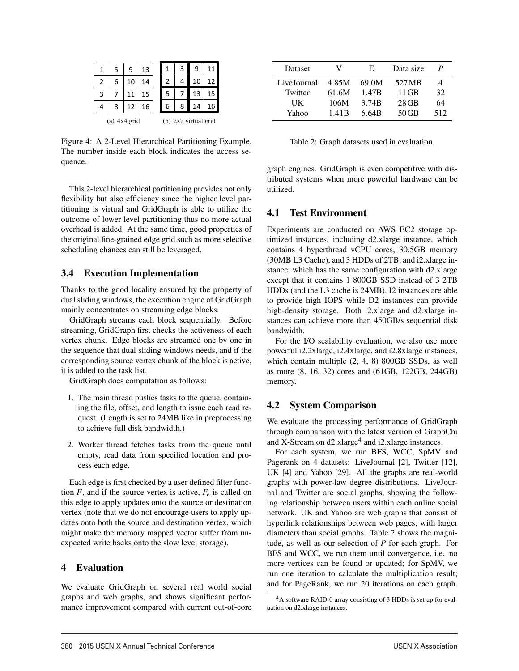|   | 5               |    | 13 |  |   | 3 | 9                    |                 |
|---|-----------------|----|----|--|---|---|----------------------|-----------------|
| 2 | 6               | 10 | 14 |  | 2 | 4 | 10                   | 12              |
| 3 |                 |    | 15 |  | 5 |   | 13                   |                 |
|   | 8               | 12 | 16 |  | 6 | 8 | 14                   | 16 <sub>1</sub> |
|   | 4x4 grid<br>(a) |    |    |  |   |   | (b) 2x2 virtual grid |                 |

Figure 4: A 2-Level Hierarchical Partitioning Example. The number inside each block indicates the access sequence.

This 2-level hierarchical partitioning provides not only flexibility but also efficiency since the higher level partitioning is virtual and GridGraph is able to utilize the outcome of lower level partitioning thus no more actual overhead is added. At the same time, good properties of the original fine-grained edge grid such as more selective scheduling chances can still be leveraged.

#### 3.4 Execution Implementation

Thanks to the good locality ensured by the property of dual sliding windows, the execution engine of GridGraph mainly concentrates on streaming edge blocks.

GridGraph streams each block sequentially. Before streaming, GridGraph first checks the activeness of each vertex chunk. Edge blocks are streamed one by one in the sequence that dual sliding windows needs, and if the corresponding source vertex chunk of the block is active, it is added to the task list.

GridGraph does computation as follows:

- 1. The main thread pushes tasks to the queue, containing the file, offset, and length to issue each read request. (Length is set to 24MB like in preprocessing to achieve full disk bandwidth.)
- 2. Worker thread fetches tasks from the queue until empty, read data from specified location and process each edge.

Each edge is first checked by a user defined filter function  $F$ , and if the source vertex is active,  $F_e$  is called on this edge to apply updates onto the source or destination vertex (note that we do not encourage users to apply updates onto both the source and destination vertex, which might make the memory mapped vector suffer from unexpected write backs onto the slow level storage).

#### 4 Evaluation

We evaluate GridGraph on several real world social graphs and web graphs, and shows significant performance improvement compared with current out-of-core

| Dataset     | V                 | Е.                | Data size | P   |
|-------------|-------------------|-------------------|-----------|-----|
| LiveJournal | 4.85M             | 69.0M             | 527 MB    | 4   |
| Twitter     | 61.6M             | 1.47B             | 11 GB     | 32  |
| UK          | 106M              | 3.74 <sub>R</sub> | $28$ GB   | 64  |
| Yahoo       | 1.41 <sub>B</sub> | 6.64B             | $50$ GB   | 512 |

Table 2: Graph datasets used in evaluation.

graph engines. GridGraph is even competitive with distributed systems when more powerful hardware can be utilized.

#### 4.1 Test Environment

Experiments are conducted on AWS EC2 storage optimized instances, including d2.xlarge instance, which contains 4 hyperthread vCPU cores, 30.5GB memory (30MB L3 Cache), and 3 HDDs of 2TB, and i2.xlarge instance, which has the same configuration with d2.xlarge except that it contains 1 800GB SSD instead of 3 2TB HDDs (and the L3 cache is 24MB). I2 instances are able to provide high IOPS while D2 instances can provide high-density storage. Both i2.xlarge and d2.xlarge instances can achieve more than 450GB/s sequential disk bandwidth.

For the I/O scalability evaluation, we also use more powerful i2.2xlarge, i2.4xlarge, and i2.8xlarge instances, which contain multiple (2, 4, 8) 800GB SSDs, as well as more (8, 16, 32) cores and (61GB, 122GB, 244GB) memory.

#### 4.2 System Comparison

We evaluate the processing performance of GridGraph through comparison with the latest version of GraphChi and X-Stream on  $d2$ .xlarge<sup>4</sup> and i2.xlarge instances.

For each system, we run BFS, WCC, SpMV and Pagerank on 4 datasets: LiveJournal [2], Twitter [12], UK [4] and Yahoo [29]. All the graphs are real-world graphs with power-law degree distributions. LiveJournal and Twitter are social graphs, showing the following relationship between users within each online social network. UK and Yahoo are web graphs that consist of hyperlink relationships between web pages, with larger diameters than social graphs. Table 2 shows the magnitude, as well as our selection of *P* for each graph. For BFS and WCC, we run them until convergence, i.e. no more vertices can be found or updated; for SpMV, we run one iteration to calculate the multiplication result; and for PageRank, we run 20 iterations on each graph.

<sup>4</sup>A software RAID-0 array consisting of 3 HDDs is set up for evaluation on d2.xlarge instances.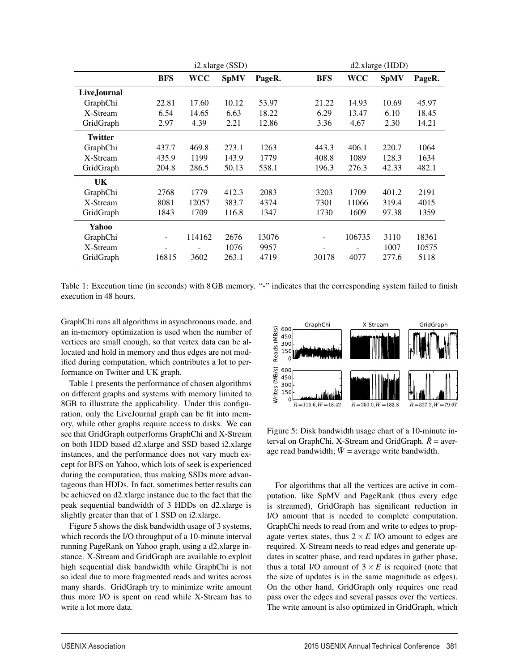|                |            |        | i2.xlarge (SSD) |        |                 | d2.xlarge (HDD) |             |        |  |
|----------------|------------|--------|-----------------|--------|-----------------|-----------------|-------------|--------|--|
|                | <b>BFS</b> | WCC    | <b>SpMV</b>     | PageR. | <b>BFS</b>      | <b>WCC</b>      | <b>SpMV</b> | PageR. |  |
| Live.Iournal   |            |        |                 |        |                 |                 |             |        |  |
| GraphChi       | 22.81      | 17.60  | 10.12           | 53.97  | 21.22           | 14.93           | 10.69       | 45.97  |  |
| X-Stream       | 6.54       | 14.65  | 6.63            | 18.22  | 6.29            | 13.47           | 6.10        | 18.45  |  |
| GridGraph      | 2.97       | 4.39   | 2.21            | 12.86  | 3.36            | 4.67            | 2.30        | 14.21  |  |
| <b>Twitter</b> |            |        |                 |        |                 |                 |             |        |  |
| GraphChi       | 437.7      | 469.8  | 273.1           | 1263   | 443.3           | 406.1           | 220.7       | 1064   |  |
| X-Stream       | 435.9      | 1199   | 143.9           | 1779   | 408.8           | 1089            | 128.3       | 1634   |  |
| GridGraph      | 204.8      | 286.5  | 50.13           | 538.1  | 196.3           | 276.3           | 42.33       | 482.1  |  |
| UK.            |            |        |                 |        |                 |                 |             |        |  |
| GraphChi       | 2768       | 1779   | 412.3           | 2083   | 3203            | 1709            | 401.2       | 2191   |  |
| X-Stream       | 8081       | 12057  | 383.7           | 4374   | 7301            | 11066           | 319.4       | 4015   |  |
| GridGraph      | 1843       | 1709   | 116.8           | 1347   | 1730            | 1609            | 97.38       | 1359   |  |
| Yahoo          |            |        |                 |        |                 |                 |             |        |  |
| GraphChi       |            | 114162 | 2676            | 13076  | -               | 106735          | 3110        | 18361  |  |
| X-Stream       | -          |        | 1076            | 9957   | $\qquad \qquad$ |                 | 1007        | 10575  |  |
| GridGraph      | 16815      | 3602   | 263.1           | 4719   | 30178           | 4077            | 277.6       | 5118   |  |

Table 1: Execution time (in seconds) with 8GB memory. "-" indicates that the corresponding system failed to finish execution in 48 hours.

GraphChi runs all algorithms in asynchronous mode, and an in-memory optimization is used when the number of vertices are small enough, so that vertex data can be allocated and hold in memory and thus edges are not modified during computation, which contributes a lot to performance on Twitter and UK graph.

Table 1 presents the performance of chosen algorithms on different graphs and systems with memory limited to 8GB to illustrate the applicability. Under this configuration, only the LiveJournal graph can be fit into memory, while other graphs require access to disks. We can see that GridGraph outperforms GraphChi and X-Stream on both HDD based d2.xlarge and SSD based i2.xlarge instances, and the performance does not vary much except for BFS on Yahoo, which lots of seek is experienced during the computation, thus making SSDs more advantageous than HDDs. In fact, sometimes better results can be achieved on d2.xlarge instance due to the fact that the peak sequential bandwidth of 3 HDDs on d2.xlarge is slightly greater than that of 1 SSD on i2.xlarge.

Figure 5 shows the disk bandwidth usage of 3 systems, which records the I/O throughput of a 10-minute interval running PageRank on Yahoo graph, using a d2.xlarge instance. X-Stream and GridGraph are available to exploit high sequential disk bandwidth while GraphChi is not so ideal due to more fragmented reads and writes across many shards. GridGraph try to minimize write amount thus more I/O is spent on read while X-Stream has to write a lot more data.



Figure 5: Disk bandwidth usage chart of a 10-minute interval on GraphChi, X-Stream and GridGraph.  $\bar{R}$  = average read bandwidth;  $\bar{W}$  = average write bandwidth.

For algorithms that all the vertices are active in computation, like SpMV and PageRank (thus every edge is streamed), GridGraph has significant reduction in I/O amount that is needed to complete computation. GraphChi needs to read from and write to edges to propagate vertex states, thus  $2 \times E$  I/O amount to edges are required. X-Stream needs to read edges and generate updates in scatter phase, and read updates in gather phase, thus a total I/O amount of  $3 \times E$  is required (note that the size of updates is in the same magnitude as edges). On the other hand, GridGraph only requires one read pass over the edges and several passes over the vertices. The write amount is also optimized in GridGraph, which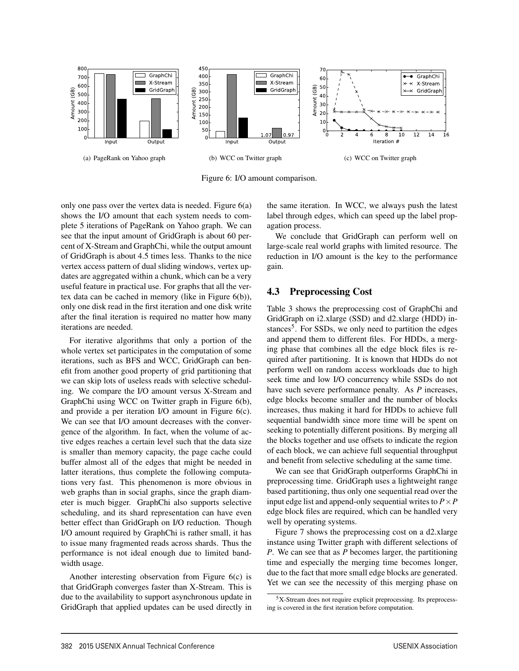

Figure 6: I/O amount comparison.

only one pass over the vertex data is needed. Figure 6(a) shows the I/O amount that each system needs to complete 5 iterations of PageRank on Yahoo graph. We can see that the input amount of GridGraph is about 60 percent of X-Stream and GraphChi, while the output amount of GridGraph is about 4.5 times less. Thanks to the nice vertex access pattern of dual sliding windows, vertex updates are aggregated within a chunk, which can be a very useful feature in practical use. For graphs that all the vertex data can be cached in memory (like in Figure 6(b)), only one disk read in the first iteration and one disk write after the final iteration is required no matter how many iterations are needed.

For iterative algorithms that only a portion of the whole vertex set participates in the computation of some iterations, such as BFS and WCC, GridGraph can benefit from another good property of grid partitioning that we can skip lots of useless reads with selective scheduling. We compare the I/O amount versus X-Stream and GraphChi using WCC on Twitter graph in Figure 6(b), and provide a per iteration I/O amount in Figure 6(c). We can see that I/O amount decreases with the convergence of the algorithm. In fact, when the volume of active edges reaches a certain level such that the data size is smaller than memory capacity, the page cache could buffer almost all of the edges that might be needed in latter iterations, thus complete the following computations very fast. This phenomenon is more obvious in web graphs than in social graphs, since the graph diameter is much bigger. GraphChi also supports selective scheduling, and its shard representation can have even better effect than GridGraph on I/O reduction. Though I/O amount required by GraphChi is rather small, it has to issue many fragmented reads across shards. Thus the performance is not ideal enough due to limited bandwidth usage.

Another interesting observation from Figure 6(c) is that GridGraph converges faster than X-Stream. This is due to the availability to support asynchronous update in GridGraph that applied updates can be used directly in the same iteration. In WCC, we always push the latest label through edges, which can speed up the label propagation process.

We conclude that GridGraph can perform well on large-scale real world graphs with limited resource. The reduction in I/O amount is the key to the performance gain.

#### 4.3 Preprocessing Cost

Table 3 shows the preprocessing cost of GraphChi and GridGraph on i2.xlarge (SSD) and d2.xlarge (HDD) instances<sup>5</sup>. For SSDs, we only need to partition the edges and append them to different files. For HDDs, a merging phase that combines all the edge block files is required after partitioning. It is known that HDDs do not perform well on random access workloads due to high seek time and low I/O concurrency while SSDs do not have such severe performance penalty. As *P* increases, edge blocks become smaller and the number of blocks increases, thus making it hard for HDDs to achieve full sequential bandwidth since more time will be spent on seeking to potentially different positions. By merging all the blocks together and use offsets to indicate the region of each block, we can achieve full sequential throughput and benefit from selective scheduling at the same time.

We can see that GridGraph outperforms GraphChi in preprocessing time. GridGraph uses a lightweight range based partitioning, thus only one sequential read over the input edge list and append-only sequential writes to  $P \times P$ edge block files are required, which can be handled very well by operating systems.

Figure 7 shows the preprocessing cost on a d2.xlarge instance using Twitter graph with different selections of *P*. We can see that as *P* becomes larger, the partitioning time and especially the merging time becomes longer, due to the fact that more small edge blocks are generated. Yet we can see the necessity of this merging phase on

 $5X$ -Stream does not require explicit preprocessing. Its preprocessing is covered in the first iteration before computation.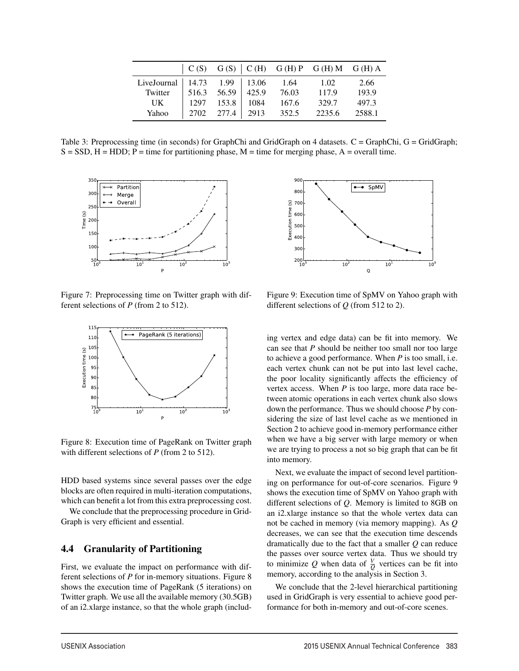|                                  |                     |                       | $C(S)$ $G(S)$ $C(H)$ $G(H)$ $P$ $G(H)$ $M$ $G(H)$ $A$ |        |
|----------------------------------|---------------------|-----------------------|-------------------------------------------------------|--------|
| LiveJournal   14.73 1.99   13.06 |                     | 1.64                  | 1.02                                                  | 2.66   |
| Twitter                          | $516.3$ 56.59 425.9 | 76.03                 | 117.9                                                 | 193.9  |
| UK                               |                     | 1297 153.8 1084 167.6 | 329.7                                                 | 497.3  |
| Yahoo                            | 2702 277.4 2913     | 352.5                 | 2235.6                                                | 2588.1 |

Table 3: Preprocessing time (in seconds) for GraphChi and GridGraph on 4 datasets. C = GraphChi, G = GridGraph;  $S = SSD$ ,  $H = HDD$ ;  $P = time$  for partitioning phase,  $M = time$  for merging phase,  $A = overall$  time.



Figure 7: Preprocessing time on Twitter graph with different selections of *P* (from 2 to 512).



Figure 8: Execution time of PageRank on Twitter graph with different selections of *P* (from 2 to 512).

HDD based systems since several passes over the edge blocks are often required in multi-iteration computations, which can benefit a lot from this extra preprocessing cost.

We conclude that the preprocessing procedure in Grid-Graph is very efficient and essential.

#### 4.4 Granularity of Partitioning

First, we evaluate the impact on performance with different selections of *P* for in-memory situations. Figure 8 shows the execution time of PageRank (5 iterations) on Twitter graph. We use all the available memory (30.5GB) of an i2.xlarge instance, so that the whole graph (includ-



Figure 9: Execution time of SpMV on Yahoo graph with different selections of *Q* (from 512 to 2).

ing vertex and edge data) can be fit into memory. We can see that *P* should be neither too small nor too large to achieve a good performance. When *P* is too small, i.e. each vertex chunk can not be put into last level cache, the poor locality significantly affects the efficiency of vertex access. When *P* is too large, more data race between atomic operations in each vertex chunk also slows down the performance. Thus we should choose *P* by considering the size of last level cache as we mentioned in Section 2 to achieve good in-memory performance either when we have a big server with large memory or when we are trying to process a not so big graph that can be fit into memory.

Next, we evaluate the impact of second level partitioning on performance for out-of-core scenarios. Figure 9 shows the execution time of SpMV on Yahoo graph with different selections of *Q*. Memory is limited to 8GB on an i2.xlarge instance so that the whole vertex data can not be cached in memory (via memory mapping). As *Q* decreases, we can see that the execution time descends dramatically due to the fact that a smaller *Q* can reduce the passes over source vertex data. Thus we should try to minimize Q when data of  $\frac{V}{Q}$  vertices can be fit into memory, according to the analysis in Section 3.

We conclude that the 2-level hierarchical partitioning used in GridGraph is very essential to achieve good performance for both in-memory and out-of-core scenes.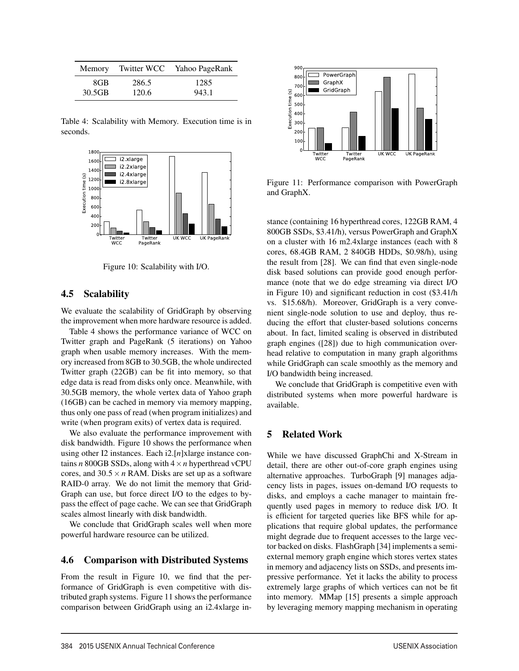|        |       | Memory Twitter WCC Yahoo PageRank |
|--------|-------|-----------------------------------|
| 8GB    | 286.5 | 1285                              |
| 30.5GB | 120.6 | 943.1                             |

Table 4: Scalability with Memory. Execution time is in seconds.



Figure 10: Scalability with I/O.

#### 4.5 Scalability

We evaluate the scalability of GridGraph by observing the improvement when more hardware resource is added.

Table 4 shows the performance variance of WCC on Twitter graph and PageRank (5 iterations) on Yahoo graph when usable memory increases. With the memory increased from 8GB to 30.5GB, the whole undirected Twitter graph (22GB) can be fit into memory, so that edge data is read from disks only once. Meanwhile, with 30.5GB memory, the whole vertex data of Yahoo graph (16GB) can be cached in memory via memory mapping, thus only one pass of read (when program initializes) and write (when program exits) of vertex data is required.

We also evaluate the performance improvement with disk bandwidth. Figure 10 shows the performance when using other I2 instances. Each i2.[*n*]xlarge instance contains  $n$  800GB SSDs, along with  $4 \times n$  hyperthread vCPU cores, and  $30.5 \times n$  RAM. Disks are set up as a software RAID-0 array. We do not limit the memory that Grid-Graph can use, but force direct I/O to the edges to bypass the effect of page cache. We can see that GridGraph scales almost linearly with disk bandwidth.

We conclude that GridGraph scales well when more powerful hardware resource can be utilized.

#### 4.6 Comparison with Distributed Systems

From the result in Figure 10, we find that the performance of GridGraph is even competitive with distributed graph systems. Figure 11 shows the performance comparison between GridGraph using an i2.4xlarge in-



Figure 11: Performance comparison with PowerGraph and GraphX.

stance (containing 16 hyperthread cores, 122GB RAM, 4 800GB SSDs, \$3.41/h), versus PowerGraph and GraphX on a cluster with 16 m2.4xlarge instances (each with 8 cores, 68.4GB RAM, 2 840GB HDDs, \$0.98/h), using the result from [28]. We can find that even single-node disk based solutions can provide good enough performance (note that we do edge streaming via direct I/O in Figure 10) and significant reduction in cost (\$3.41/h vs. \$15.68/h). Moreover, GridGraph is a very convenient single-node solution to use and deploy, thus reducing the effort that cluster-based solutions concerns about. In fact, limited scaling is observed in distributed graph engines ([28]) due to high communication overhead relative to computation in many graph algorithms while GridGraph can scale smoothly as the memory and I/O bandwidth being increased.

We conclude that GridGraph is competitive even with distributed systems when more powerful hardware is available.

#### 5 Related Work

While we have discussed GraphChi and X-Stream in detail, there are other out-of-core graph engines using alternative approaches. TurboGraph [9] manages adjacency lists in pages, issues on-demand I/O requests to disks, and employs a cache manager to maintain frequently used pages in memory to reduce disk I/O. It is efficient for targeted queries like BFS while for applications that require global updates, the performance might degrade due to frequent accesses to the large vector backed on disks. FlashGraph [34] implements a semiexternal memory graph engine which stores vertex states in memory and adjacency lists on SSDs, and presents impressive performance. Yet it lacks the ability to process extremely large graphs of which vertices can not be fit into memory. MMap [15] presents a simple approach by leveraging memory mapping mechanism in operating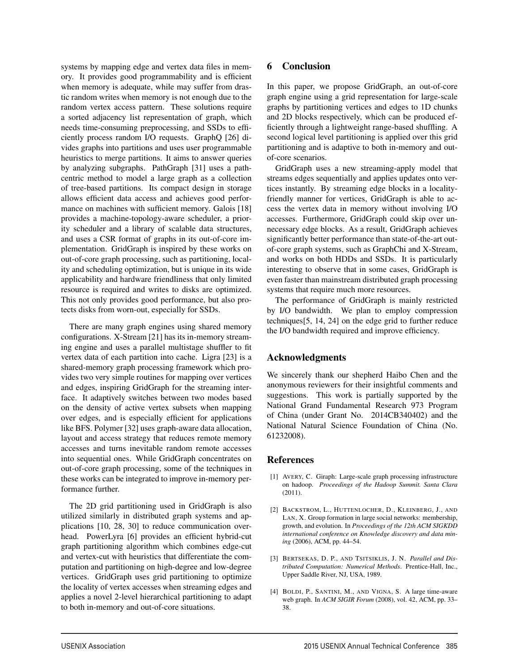systems by mapping edge and vertex data files in memory. It provides good programmability and is efficient when memory is adequate, while may suffer from drastic random writes when memory is not enough due to the random vertex access pattern. These solutions require a sorted adjacency list representation of graph, which needs time-consuming preprocessing, and SSDs to efficiently process random I/O requests. GraphQ [26] divides graphs into partitions and uses user programmable heuristics to merge partitions. It aims to answer queries by analyzing subgraphs. PathGraph [31] uses a pathcentric method to model a large graph as a collection of tree-based partitions. Its compact design in storage allows efficient data access and achieves good performance on machines with sufficient memory. Galois [18] provides a machine-topology-aware scheduler, a priority scheduler and a library of scalable data structures, and uses a CSR format of graphs in its out-of-core implementation. GridGraph is inspired by these works on out-of-core graph processing, such as partitioning, locality and scheduling optimization, but is unique in its wide applicability and hardware friendliness that only limited resource is required and writes to disks are optimized. This not only provides good performance, but also protects disks from worn-out, especially for SSDs.

There are many graph engines using shared memory configurations. X-Stream [21] has its in-memory streaming engine and uses a parallel multistage shuffler to fit vertex data of each partition into cache. Ligra [23] is a shared-memory graph processing framework which provides two very simple routines for mapping over vertices and edges, inspiring GridGraph for the streaming interface. It adaptively switches between two modes based on the density of active vertex subsets when mapping over edges, and is especially efficient for applications like BFS. Polymer [32] uses graph-aware data allocation, layout and access strategy that reduces remote memory accesses and turns inevitable random remote accesses into sequential ones. While GridGraph concentrates on out-of-core graph processing, some of the techniques in these works can be integrated to improve in-memory performance further.

The 2D grid partitioning used in GridGraph is also utilized similarly in distributed graph systems and applications [10, 28, 30] to reduce communication overhead. PowerLyra [6] provides an efficient hybrid-cut graph partitioning algorithm which combines edge-cut and vertex-cut with heuristics that differentiate the computation and partitioning on high-degree and low-degree vertices. GridGraph uses grid partitioning to optimize the locality of vertex accesses when streaming edges and applies a novel 2-level hierarchical partitioning to adapt to both in-memory and out-of-core situations.

#### 6 Conclusion

In this paper, we propose GridGraph, an out-of-core graph engine using a grid representation for large-scale graphs by partitioning vertices and edges to 1D chunks and 2D blocks respectively, which can be produced efficiently through a lightweight range-based shuffling. A second logical level partitioning is applied over this grid partitioning and is adaptive to both in-memory and outof-core scenarios.

GridGraph uses a new streaming-apply model that streams edges sequentially and applies updates onto vertices instantly. By streaming edge blocks in a localityfriendly manner for vertices, GridGraph is able to access the vertex data in memory without involving I/O accesses. Furthermore, GridGraph could skip over unnecessary edge blocks. As a result, GridGraph achieves significantly better performance than state-of-the-art outof-core graph systems, such as GraphChi and X-Stream, and works on both HDDs and SSDs. It is particularly interesting to observe that in some cases, GridGraph is even faster than mainstream distributed graph processing systems that require much more resources.

The performance of GridGraph is mainly restricted by I/O bandwidth. We plan to employ compression techniques[5, 14, 24] on the edge grid to further reduce the I/O bandwidth required and improve efficiency.

#### Acknowledgments

We sincerely thank our shepherd Haibo Chen and the anonymous reviewers for their insightful comments and suggestions. This work is partially supported by the National Grand Fundamental Research 973 Program of China (under Grant No. 2014CB340402) and the National Natural Science Foundation of China (No. 61232008).

#### References

- [1] AVERY, C. Giraph: Large-scale graph processing infrastructure on hadoop. *Proceedings of the Hadoop Summit. Santa Clara* (2011).
- [2] BACKSTROM, L., HUTTENLOCHER, D., KLEINBERG, J., AND LAN, X. Group formation in large social networks: membership, growth, and evolution. In *Proceedings of the 12th ACM SIGKDD international conference on Knowledge discovery and data mining* (2006), ACM, pp. 44–54.
- [3] BERTSEKAS, D. P., AND TSITSIKLIS, J. N. *Parallel and Distributed Computation: Numerical Methods*. Prentice-Hall, Inc., Upper Saddle River, NJ, USA, 1989.
- [4] BOLDI, P., SANTINI, M., AND VIGNA, S. A large time-aware web graph. In *ACM SIGIR Forum* (2008), vol. 42, ACM, pp. 33– 38.